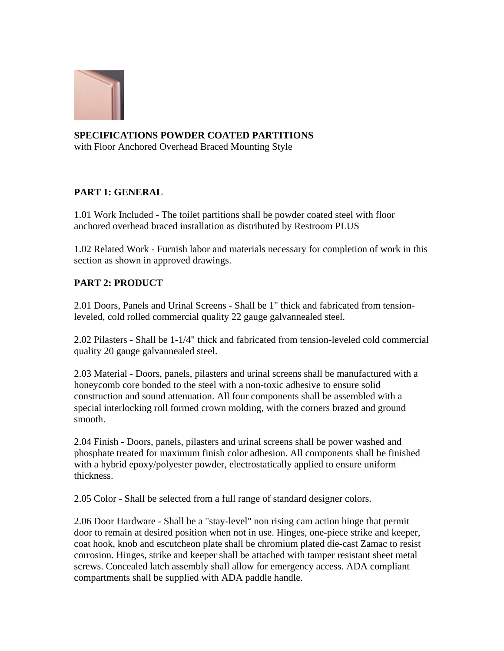

## **SPECIFICATIONS POWDER COATED PARTITIONS**

with Floor Anchored Overhead Braced Mounting Style

## **PART 1: GENERAL**

1.01 Work Included - The toilet partitions shall be powder coated steel with floor anchored overhead braced installation as distributed by Restroom PLUS

1.02 Related Work - Furnish labor and materials necessary for completion of work in this section as shown in approved drawings.

## **PART 2: PRODUCT**

2.01 Doors, Panels and Urinal Screens - Shall be 1" thick and fabricated from tensionleveled, cold rolled commercial quality 22 gauge galvannealed steel.

2.02 Pilasters - Shall be 1-1/4" thick and fabricated from tension-leveled cold commercial quality 20 gauge galvannealed steel.

2.03 Material - Doors, panels, pilasters and urinal screens shall be manufactured with a honeycomb core bonded to the steel with a non-toxic adhesive to ensure solid construction and sound attenuation. All four components shall be assembled with a special interlocking roll formed crown molding, with the corners brazed and ground smooth.

2.04 Finish - Doors, panels, pilasters and urinal screens shall be power washed and phosphate treated for maximum finish color adhesion. All components shall be finished with a hybrid epoxy/polyester powder, electrostatically applied to ensure uniform thickness.

2.05 Color - Shall be selected from a full range of standard designer colors.

2.06 Door Hardware - Shall be a "stay-level" non rising cam action hinge that permit door to remain at desired position when not in use. Hinges, one-piece strike and keeper, coat hook, knob and escutcheon plate shall be chromium plated die-cast Zamac to resist corrosion. Hinges, strike and keeper shall be attached with tamper resistant sheet metal screws. Concealed latch assembly shall allow for emergency access. ADA compliant compartments shall be supplied with ADA paddle handle.